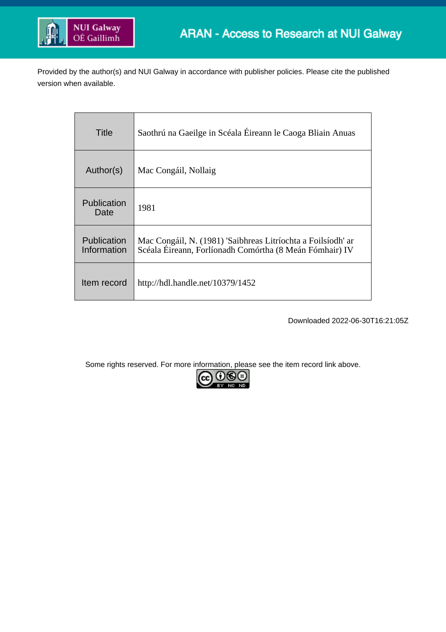

Provided by the author(s) and NUI Galway in accordance with publisher policies. Please cite the published version when available.

| Title                      | Saothrú na Gaeilge in Scéala Éireann le Caoga Bliain Anuas                                                              |
|----------------------------|-------------------------------------------------------------------------------------------------------------------------|
| Author(s)                  | Mac Congáil, Nollaig                                                                                                    |
| Publication<br>Date        | 1981                                                                                                                    |
| Publication<br>Information | Mac Congáil, N. (1981) 'Saibhreas Litríochta a Foilsíodh' ar<br>Scéala Éireann, Forlíonadh Comórtha (8 Meán Fómhair) IV |
| Item record                | http://hdl.handle.net/10379/1452                                                                                        |

Downloaded 2022-06-30T16:21:05Z

Some rights reserved. For more information, please see the item record link above.

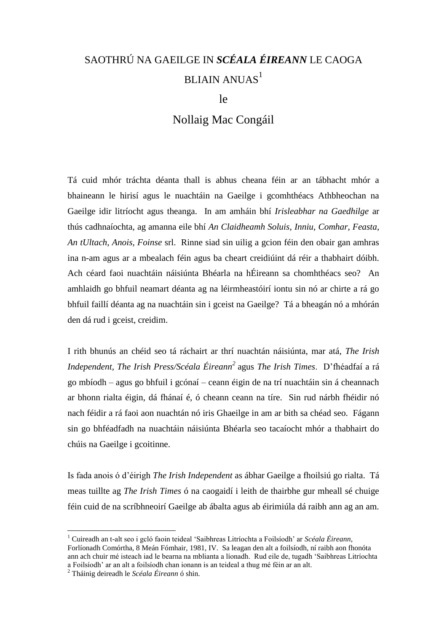## SAOTHRÚ NA GAEILGE IN *SCÉALA ÉIREANN* LE CAOGA BLIAIN ANUAS<sup>1</sup>

le

## Nollaig Mac Congáil

Tá cuid mhór tráchta déanta thall is abhus cheana féin ar an tábhacht mhór a bhaineann le hirisí agus le nuachtáin na Gaeilge i gcomhthéacs Athbheochan na Gaeilge idir litríocht agus theanga. In am amháin bhí *Irisleabhar na Gaedhilge* ar thús cadhnaíochta, ag amanna eile bhí *An Claidheamh Soluis*, *Inniu*, *Comhar*, *Feasta*, *An tUltach, Anois, Foinse* srl. Rinne siad sin uilig a gcion féin den obair gan amhras ina n-am agus ar a mbealach féin agus ba cheart creidiúint dá réir a thabhairt dóibh. Ach céard faoi nuachtáin náisiúnta Bhéarla na hÉireann sa chomhthéacs seo? An amhlaidh go bhfuil neamart déanta ag na léirmheastóirí iontu sin nó ar chirte a rá go bhfuil faillí déanta ag na nuachtáin sin i gceist na Gaeilge? Tá a bheagán nó a mhórán den dá rud i gceist, creidim.

I rith bhunús an chéid seo tá ráchairt ar thrí nuachtán náisiúnta, mar atá, *The Irish Independent, The Irish Press/Scéala Éireann<sup>2</sup>* agus *The Irish Times*. D'fhéadfaí a rá go mbíodh – agus go bhfuil i gcónaí – ceann éigin de na trí nuachtáin sin á cheannach ar bhonn rialta éigin, dá fhánaí é, ó cheann ceann na tíre. Sin rud nárbh fhéidir nó nach féidir a rá faoi aon nuachtán nó iris Ghaeilge in am ar bith sa chéad seo. Fágann sin go bhféadfadh na nuachtáin náisiúnta Bhéarla seo tacaíocht mhór a thabhairt do chúis na Gaeilge i gcoitinne.

Is fada anois ó d'éirigh *The Irish Independent* as ábhar Gaeilge a fhoilsiú go rialta. Tá meas tuillte ag *The Irish Times* ó na caogaidí i leith de thairbhe gur mheall sé chuige féin cuid de na scríbhneoirí Gaeilge ab ábalta agus ab éirimiúla dá raibh ann ag an am.

<u>.</u>

<sup>1</sup> Cuireadh an t-alt seo i gcló faoin teideal 'Saibhreas Litríochta a Foilsíodh' ar *Scéala Éireann*, Forlíonadh Comórtha, 8 Meán Fómhair, 1981, IV. Sa leagan den alt a foilsíodh, ní raibh aon fhonóta ann ach chuir mé isteach iad le bearna na mblianta a líonadh. Rud eile de, tugadh 'Saibhreas Litríochta a Foilsíodh' ar an alt a foilsíodh chan ionann is an teideal a thug mé féin ar an alt.

<sup>2</sup> Tháinig deireadh le *Scéala Éireann* ó shin.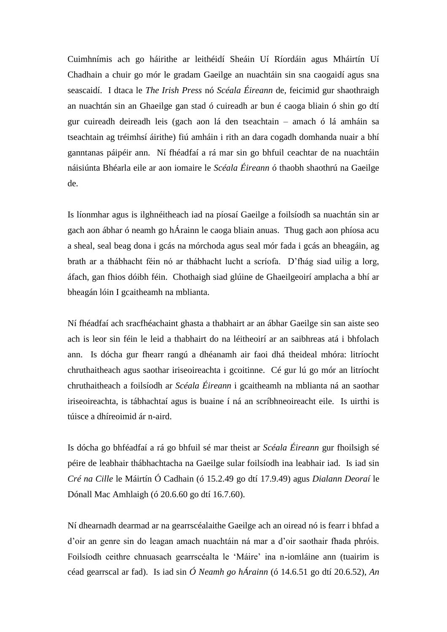Cuimhnímis ach go háirithe ar leithéidí Sheáin Uí Ríordáin agus Mháirtín Uí Chadhain a chuir go mór le gradam Gaeilge an nuachtáin sin sna caogaidí agus sna seascaidí. I dtaca le *The Irish Press* nó *Scéala Éireann* de, feicimid gur shaothraigh an nuachtán sin an Ghaeilge gan stad ó cuireadh ar bun é caoga bliain ó shin go dtí gur cuireadh deireadh leis (gach aon lá den tseachtain – amach ó lá amháin sa tseachtain ag tréimhsí áirithe) fiú amháin i rith an dara cogadh domhanda nuair a bhí ganntanas páipéir ann. Ní fhéadfaí a rá mar sin go bhfuil ceachtar de na nuachtáin náisiúnta Bhéarla eile ar aon iomaire le *Scéala Éireann* ó thaobh shaothrú na Gaeilge de.

Is líonmhar agus is ilghnéitheach iad na píosaí Gaeilge a foilsíodh sa nuachtán sin ar gach aon ábhar ó neamh go hÁrainn le caoga bliain anuas. Thug gach aon phíosa acu a sheal, seal beag dona i gcás na mórchoda agus seal mór fada i gcás an bheagáin, ag brath ar a thábhacht féin nó ar thábhacht lucht a scríofa. D'fhág siad uilig a lorg, áfach, gan fhios dóibh féin. Chothaigh siad glúine de Ghaeilgeoirí amplacha a bhí ar bheagán lóin I gcaitheamh na mblianta.

Ní fhéadfaí ach sracfhéachaint ghasta a thabhairt ar an ábhar Gaeilge sin san aiste seo ach is leor sin féin le leid a thabhairt do na léitheoirí ar an saibhreas atá i bhfolach ann. Is dócha gur fhearr rangú a dhéanamh air faoi dhá theideal mhóra: litríocht chruthaitheach agus saothar iriseoireachta i gcoitinne. Cé gur lú go mór an litríocht chruthaitheach a foilsíodh ar *Scéala Éireann* i gcaitheamh na mblianta ná an saothar iriseoireachta, is tábhachtaí agus is buaine í ná an scríbhneoireacht eile. Is uirthi is túisce a dhíreoimid ár n-aird.

Is dócha go bhféadfaí a rá go bhfuil sé mar theist ar *Scéala Éireann* gur fhoilsigh sé péire de leabhair thábhachtacha na Gaeilge sular foilsíodh ina leabhair iad. Is iad sin *Cré na Cille* le Máirtín Ó Cadhain (ó 15.2.49 go dtí 17.9.49) agus *Dialann Deoraí* le Dónall Mac Amhlaigh (ó 20.6.60 go dtí 16.7.60).

Ní dhearnadh dearmad ar na gearrscéalaithe Gaeilge ach an oiread nó is fearr i bhfad a d'oir an genre sin do leagan amach nuachtáin ná mar a d'oir saothair fhada phróis. Foilsíodh ceithre chnuasach gearrscéalta le 'Máire' ina n-iomláine ann (tuairim is céad gearrscal ar fad). Is iad sin *Ó Neamh go hÁrainn* (ó 14.6.51 go dtí 20.6.52), *An*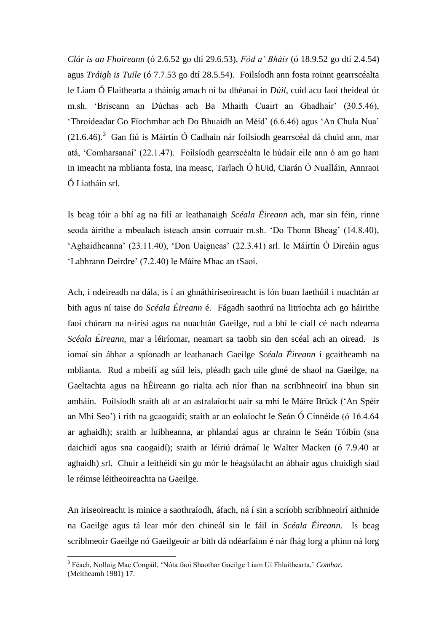*Clár is an Fhoireann* (ó 2.6.52 go dtí 29.6.53), *Fód a' Bháis* (ó 18.9.52 go dtí 2.4.54) agus *Tráigh is Tuile* (ó 7.7.53 go dtí 28.5.54). Foilsíodh ann fosta roinnt gearrscéalta le Liam Ó Flaithearta a tháinig amach ní ba dhéanaí in *Dúil*, cuid acu faoi theideal úr m.sh. 'Briseann an Dúchas ach Ba Mhaith Cuairt an Ghadhair' (30.5.46), 'Throideadar Go Fíochmhar ach Do Bhuaidh an Méid' (6.6.46) agus 'An Chula Nua'  $(21.6.46).$ <sup>3</sup> Gan fiú is Máirtín Ó Cadhain nár foilsíodh gearrscéal dá chuid ann, mar atá, 'Comharsanaí' (22.1.47). Foilsíodh gearrscéalta le húdair eile ann ó am go ham in imeacht na mblianta fosta, ina measc, Tarlach Ó hUid, Ciarán Ó Nualláin, Annraoi Ó Liatháin srl.

Is beag tóir a bhí ag na filí ar leathanaigh *Scéala Éireann* ach, mar sin féin, rinne seoda áirithe a mbealach isteach ansin corruair m.sh. 'Do Thonn Bheag' (14.8.40), 'Aghaidheanna' (23.11.40), 'Don Uaigneas' (22.3.41) srl. le Máirtín Ó Direáin agus 'Labhrann Deirdre' (7.2.40) le Máire Mhac an tSaoi.

Ach, i ndeireadh na dála, is í an ghnáthiriseoireacht is lón buan laethúil i nuachtán ar bith agus ní taise do *Scéala Éireann* é. Fágadh saothrú na litríochta ach go háirithe faoi chúram na n-irisí agus na nuachtán Gaeilge, rud a bhí le ciall cé nach ndearna *Scéala Éireann*, mar a léiríomar, neamart sa taobh sin den scéal ach an oiread. Is iomaí sin ábhar a spíonadh ar leathanach Gaeilge *Scéala Éireann* i gcaitheamh na mblianta. Rud a mbeifí ag súil leis, pléadh gach uile ghné de shaol na Gaeilge, na Gaeltachta agus na hÉireann go rialta ach níor fhan na scríbhneoirí ina bhun sin amháin. Foilsíodh sraith alt ar an astralaíocht uair sa mhí le Máire Brūck ('An Spéir an Mhí Seo') i rith na gcaogaidí; sraith ar an eolaíocht le Seán Ó Cinnéide (ó 16.4.64 ar aghaidh); sraith ar luibheanna, ar phlandaí agus ar chrainn le Seán Tóibín (sna daichidí agus sna caogaidí); sraith ar léiriú drámaí le Walter Macken (ó 7.9.40 ar aghaidh) srl. Chuir a leithéidí sin go mór le héagsúlacht an ábhair agus chuidigh siad le réimse léitheoireachta na Gaeilge.

An iriseoireacht is minice a saothraíodh, áfach, ná í sin a scríobh scríbhneoirí aithnide na Gaeilge agus tá lear mór den chineál sin le fáil in *Scéala Éireann*. Is beag scríbhneoir Gaeilge nó Gaeilgeoir ar bith dá ndéarfainn é nár fhág lorg a phinn ná lorg

1

<sup>3</sup> Féach, Nollaig Mac Congáil, 'Nóta faoi Shaothar Gaeilge Liam Uí Fhlaithearta,' *Comhar.* (Meitheamh 1981) 17.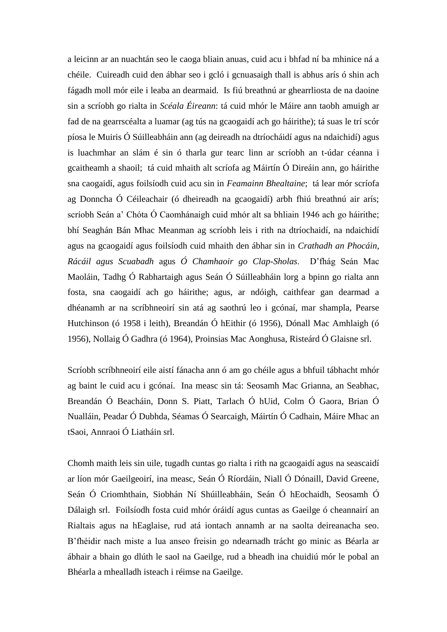a leicinn ar an nuachtán seo le caoga bliain anuas, cuid acu i bhfad ní ba mhinice ná a chéile. Cuireadh cuid den ábhar seo i gcló i gcnuasaigh thall is abhus arís ó shin ach fágadh moll mór eile i leaba an dearmaid. Is fiú breathnú ar ghearrliosta de na daoine sin a scríobh go rialta in *Scéala Éireann*: tá cuid mhór le Máire ann taobh amuigh ar fad de na gearrscéalta a luamar (ag tús na gcaogaidí ach go háirithe); tá suas le trí scór píosa le Muiris Ó Súilleabháin ann (ag deireadh na dtríocháidí agus na ndaichidí) agus is luachmhar an slám é sin ó tharla gur tearc linn ar scríobh an t-údar céanna i gcaitheamh a shaoil; tá cuid mhaith alt scríofa ag Máirtín Ó Direáin ann, go háirithe sna caogaidí, agus foilsíodh cuid acu sin in *Feamainn Bhealtaine*; tá lear mór scríofa ag Donncha Ó Céileachair (ó dheireadh na gcaogaidí) arbh fhiú breathnú air arís; scríobh Seán a' Chóta Ó Caomhánaigh cuid mhór alt sa bhliain 1946 ach go háirithe; bhí Seaghán Bán Mhac Meanman ag scríobh leis i rith na dtríochaidí, na ndaichidí agus na gcaogaidí agus foilsíodh cuid mhaith den ábhar sin in *Crathadh an Phocáin*, *Rácáil agus Scuabadh* agus *Ó Chamhaoir go Clap-Sholas*. D'fhág Seán Mac Maoláin, Tadhg Ó Rabhartaigh agus Seán Ó Súilleabháin lorg a bpinn go rialta ann fosta, sna caogaidí ach go háirithe; agus, ar ndóigh, caithfear gan dearmad a dhéanamh ar na scríbhneoirí sin atá ag saothrú leo i gcónaí, mar shampla, Pearse Hutchinson (ó 1958 i leith), Breandán Ó hEithir (ó 1956), Dónall Mac Amhlaigh (ó 1956), Nollaig Ó Gadhra (ó 1964), Proinsias Mac Aonghusa, Risteárd Ó Glaisne srl.

Scríobh scríbhneoirí eile aistí fánacha ann ó am go chéile agus a bhfuil tábhacht mhór ag baint le cuid acu i gcónaí. Ina measc sin tá: Seosamh Mac Grianna, an Seabhac, Breandán Ó Beacháin, Donn S. Piatt, Tarlach Ó hUid, Colm Ó Gaora, Brian Ó Nualláin, Peadar Ó Dubhda, Séamas Ó Searcaigh, Máirtín Ó Cadhain, Máire Mhac an tSaoi, Annraoi Ó Liatháin srl.

Chomh maith leis sin uile, tugadh cuntas go rialta i rith na gcaogaidí agus na seascaidí ar líon mór Gaeilgeoirí, ina measc, Seán Ó Ríordáin, Niall Ó Dónaill, David Greene, Seán Ó Criomhthain, Siobhán Ní Shúilleabháin, Seán Ó hEochaidh, Seosamh Ó Dálaigh srl. Foilsíodh fosta cuid mhór óráidí agus cuntas as Gaeilge ó cheannairí an Rialtais agus na hEaglaise, rud atá iontach annamh ar na saolta deireanacha seo. B'fhéidir nach miste a lua anseo freisin go ndearnadh trácht go minic as Béarla ar ábhair a bhain go dlúth le saol na Gaeilge, rud a bheadh ina chuidiú mór le pobal an Bhéarla a mhealladh isteach i réimse na Gaeilge.